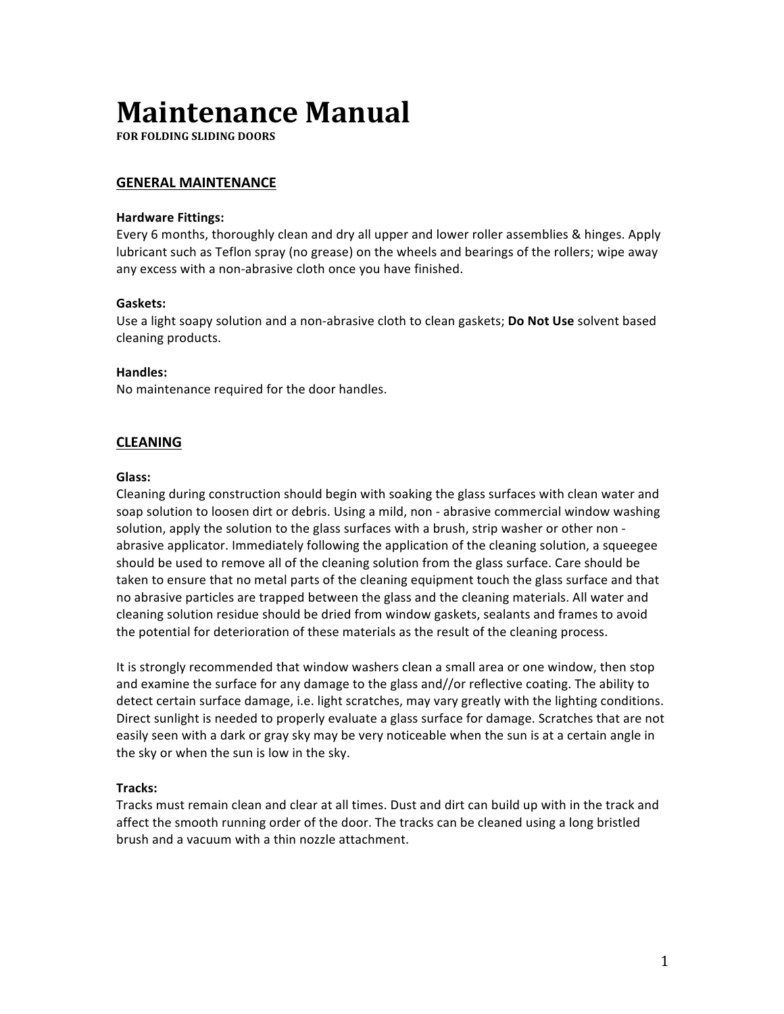# **Maintenance Manual**

**FOR FOLDING SLIDING DOORS** 

# **GENERAL MAINTENANCE**

#### **Hardware Fittings:**

Every 6 months, thoroughly clean and dry all upper and lower roller assemblies & hinges. Apply lubricant such as Teflon spray (no grease) on the wheels and bearings of the rollers; wipe away any excess with a non-abrasive cloth once you have finished.

## **Gaskets:**

Use a light soapy solution and a non-abrasive cloth to clean gaskets; **Do Not Use** solvent based cleaning products.

## **Handles:**

No maintenance required for the door handles.

# **CLEANING**

#### **Glass:**

Cleaning during construction should begin with soaking the glass surfaces with clean water and soap solution to loosen dirt or debris. Using a mild, non - abrasive commercial window washing solution, apply the solution to the glass surfaces with a brush, strip washer or other non abrasive applicator. Immediately following the application of the cleaning solution, a squeegee should be used to remove all of the cleaning solution from the glass surface. Care should be taken to ensure that no metal parts of the cleaning equipment touch the glass surface and that no abrasive particles are trapped between the glass and the cleaning materials. All water and cleaning solution residue should be dried from window gaskets, sealants and frames to avoid the potential for deterioration of these materials as the result of the cleaning process.

It is strongly recommended that window washers clean a small area or one window, then stop and examine the surface for any damage to the glass and//or reflective coating. The ability to detect certain surface damage, i.e. light scratches, may vary greatly with the lighting conditions. Direct sunlight is needed to properly evaluate a glass surface for damage. Scratches that are not easily seen with a dark or gray sky may be very noticeable when the sun is at a certain angle in the sky or when the sun is low in the sky.

# **Tracks:**

Tracks must remain clean and clear at all times. Dust and dirt can build up with in the track and affect the smooth running order of the door. The tracks can be cleaned using a long bristled brush and a vacuum with a thin nozzle attachment.